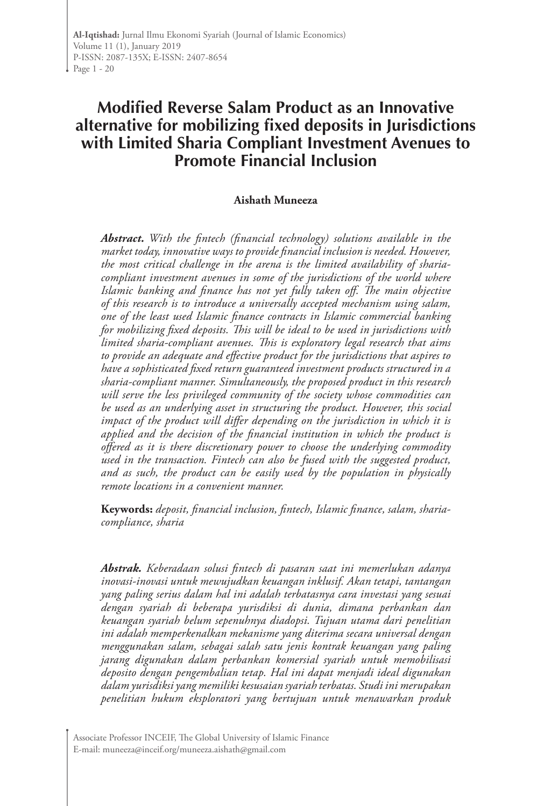**Al-Iqtishad:** Jurnal Ilmu Ekonomi Syariah (Journal of Islamic Economics) Volume 11 (1), January 2019 P-ISSN: 2087-135X; E-ISSN: 2407-8654 Page 1 - 20

# **Modified Reverse Salam Product as an Innovative alternative for mobilizing fixed deposits in Jurisdictions with Limited Sharia Compliant Investment Avenues to Promote Financial Inclusion**

#### **Aishath Muneeza**

*Abstract. With the fintech (financial technology) solutions available in the market today, innovative ways to provide financial inclusion is needed. However, the most critical challenge in the arena is the limited availability of shariacompliant investment avenues in some of the jurisdictions of the world where Islamic banking and finance has not yet fully taken off. The main objective of this research is to introduce a universally accepted mechanism using salam, one of the least used Islamic finance contracts in Islamic commercial banking for mobilizing fixed deposits. This will be ideal to be used in jurisdictions with limited sharia-compliant avenues. This is exploratory legal research that aims to provide an adequate and effective product for the jurisdictions that aspires to have a sophisticated fixed return guaranteed investment products structured in a sharia-compliant manner. Simultaneously, the proposed product in this research will serve the less privileged community of the society whose commodities can be used as an underlying asset in structuring the product. However, this social impact of the product will differ depending on the jurisdiction in which it is applied and the decision of the financial institution in which the product is offered as it is there discretionary power to choose the underlying commodity used in the transaction. Fintech can also be fused with the suggested product, and as such, the product can be easily used by the population in physically remote locations in a convenient manner.* 

**Keywords:** *deposit, financial inclusion, fintech, Islamic finance, salam, shariacompliance, sharia*

*Abstrak. Keberadaan solusi fintech di pasaran saat ini memerlukan adanya inovasi-inovasi untuk mewujudkan keuangan inklusif. Akan tetapi, tantangan yang paling serius dalam hal ini adalah terbatasnya cara investasi yang sesuai dengan syariah di beberapa yurisdiksi di dunia, dimana perbankan dan keuangan syariah belum sepenuhnya diadopsi. Tujuan utama dari penelitian ini adalah memperkenalkan mekanisme yang diterima secara universal dengan menggunakan salam, sebagai salah satu jenis kontrak keuangan yang paling jarang digunakan dalam perbankan komersial syariah untuk memobilisasi deposito dengan pengembalian tetap. Hal ini dapat menjadi ideal digunakan dalam yurisdiksi yang memiliki kesusaian syariah terbatas. Studi ini merupakan penelitian hukum eksploratori yang bertujuan untuk menawarkan produk* 

Associate Professor INCEIF, The Global University of Islamic Finance E-mail: muneeza@inceif.org/muneeza.aishath@gmail.com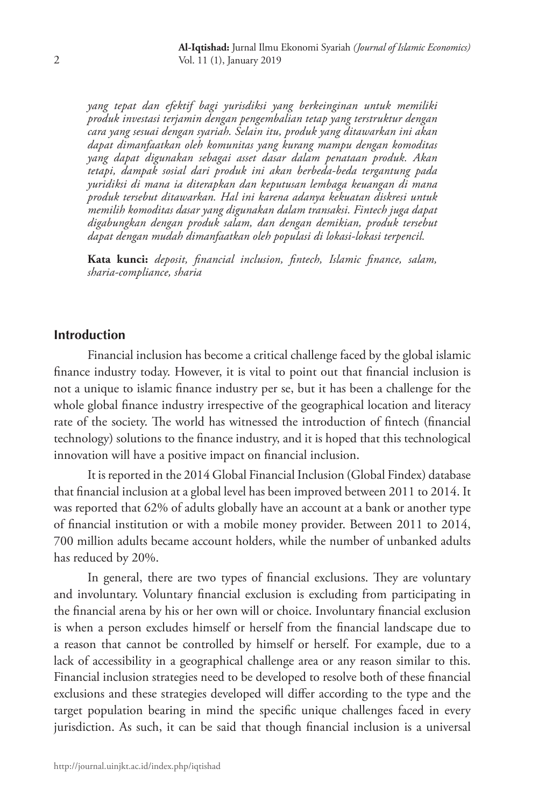*yang tepat dan efektif bagi yurisdiksi yang berkeinginan untuk memiliki produk investasi terjamin dengan pengembalian tetap yang terstruktur dengan cara yang sesuai dengan syariah. Selain itu, produk yang ditawarkan ini akan dapat dimanfaatkan oleh komunitas yang kurang mampu dengan komoditas yang dapat digunakan sebagai asset dasar dalam penataan produk. Akan tetapi, dampak sosial dari produk ini akan berbeda-beda tergantung pada yuridiksi di mana ia diterapkan dan keputusan lembaga keuangan di mana produk tersebut ditawarkan. Hal ini karena adanya kekuatan diskresi untuk memilih komoditas dasar yang digunakan dalam transaksi. Fintech juga dapat digabungkan dengan produk salam, dan dengan demikian, produk tersebut dapat dengan mudah dimanfaatkan oleh populasi di lokasi-lokasi terpencil.* 

**Kata kunci:** *deposit, financial inclusion, fintech, Islamic finance, salam, sharia-compliance, sharia*

### **Introduction**

Financial inclusion has become a critical challenge faced by the global islamic finance industry today. However, it is vital to point out that financial inclusion is not a unique to islamic finance industry per se, but it has been a challenge for the whole global finance industry irrespective of the geographical location and literacy rate of the society. The world has witnessed the introduction of fintech (financial technology) solutions to the finance industry, and it is hoped that this technological innovation will have a positive impact on financial inclusion.

It is reported in the 2014 Global Financial Inclusion (Global Findex) database that financial inclusion at a global level has been improved between 2011 to 2014. It was reported that 62% of adults globally have an account at a bank or another type of financial institution or with a mobile money provider. Between 2011 to 2014, 700 million adults became account holders, while the number of unbanked adults has reduced by 20%.

In general, there are two types of financial exclusions. They are voluntary and involuntary. Voluntary financial exclusion is excluding from participating in the financial arena by his or her own will or choice. Involuntary financial exclusion is when a person excludes himself or herself from the financial landscape due to a reason that cannot be controlled by himself or herself. For example, due to a lack of accessibility in a geographical challenge area or any reason similar to this. Financial inclusion strategies need to be developed to resolve both of these financial exclusions and these strategies developed will differ according to the type and the target population bearing in mind the specific unique challenges faced in every jurisdiction. As such, it can be said that though financial inclusion is a universal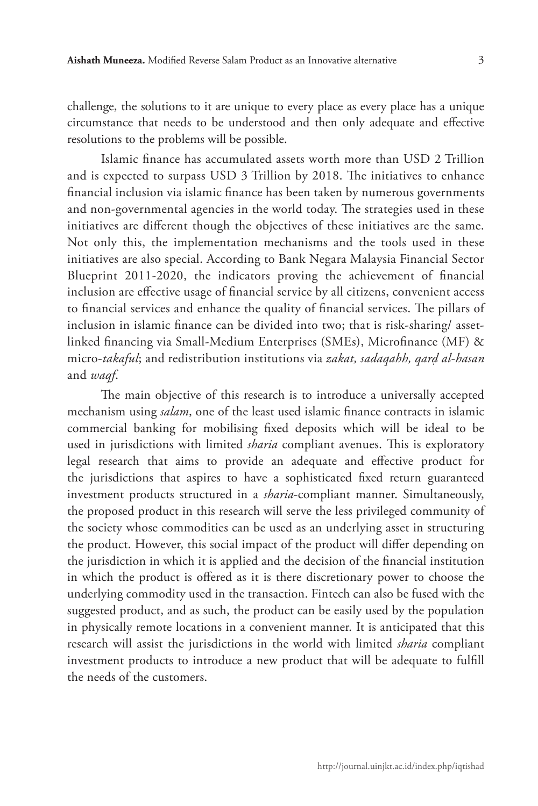challenge, the solutions to it are unique to every place as every place has a unique circumstance that needs to be understood and then only adequate and effective resolutions to the problems will be possible.

Islamic finance has accumulated assets worth more than USD 2 Trillion and is expected to surpass USD 3 Trillion by 2018. The initiatives to enhance financial inclusion via islamic finance has been taken by numerous governments and non-governmental agencies in the world today. The strategies used in these initiatives are different though the objectives of these initiatives are the same. Not only this, the implementation mechanisms and the tools used in these initiatives are also special. According to Bank Negara Malaysia Financial Sector Blueprint 2011-2020, the indicators proving the achievement of financial inclusion are effective usage of financial service by all citizens, convenient access to financial services and enhance the quality of financial services. The pillars of inclusion in islamic finance can be divided into two; that is risk-sharing/ assetlinked financing via Small-Medium Enterprises (SMEs), Microfinance (MF) & micro-*takaful*; and redistribution institutions via *zakat, sadaqahh, qarḍ al-hasan* and *waqf*.

The main objective of this research is to introduce a universally accepted mechanism using *salam*, one of the least used islamic finance contracts in islamic commercial banking for mobilising fixed deposits which will be ideal to be used in jurisdictions with limited *sharia* compliant avenues. This is exploratory legal research that aims to provide an adequate and effective product for the jurisdictions that aspires to have a sophisticated fixed return guaranteed investment products structured in a *sharia*-compliant manner. Simultaneously, the proposed product in this research will serve the less privileged community of the society whose commodities can be used as an underlying asset in structuring the product. However, this social impact of the product will differ depending on the jurisdiction in which it is applied and the decision of the financial institution in which the product is offered as it is there discretionary power to choose the underlying commodity used in the transaction. Fintech can also be fused with the suggested product, and as such, the product can be easily used by the population in physically remote locations in a convenient manner. It is anticipated that this research will assist the jurisdictions in the world with limited *sharia* compliant investment products to introduce a new product that will be adequate to fulfill the needs of the customers.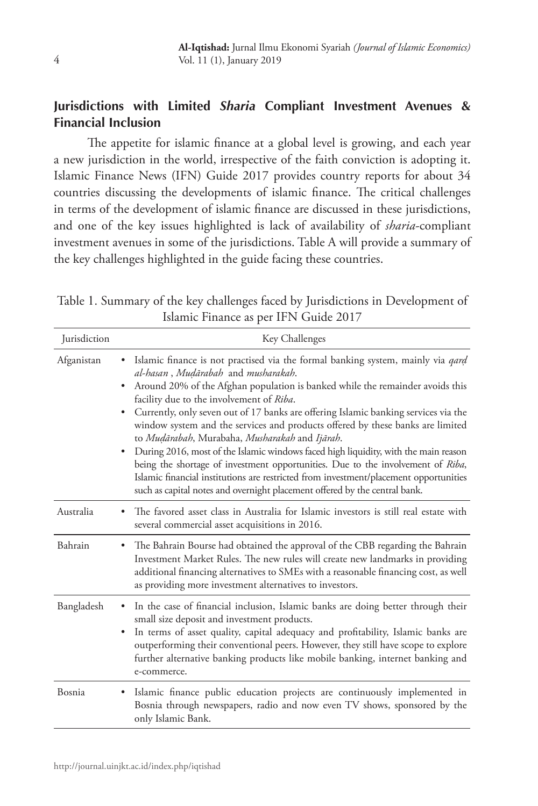# **Jurisdictions with Limited** *Sharia* **Compliant Investment Avenues & Financial Inclusion**

The appetite for islamic finance at a global level is growing, and each year a new jurisdiction in the world, irrespective of the faith conviction is adopting it. Islamic Finance News (IFN) Guide 2017 provides country reports for about 34 countries discussing the developments of islamic finance. The critical challenges in terms of the development of islamic finance are discussed in these jurisdictions, and one of the key issues highlighted is lack of availability of *sharia*-compliant investment avenues in some of the jurisdictions. Table A will provide a summary of the key challenges highlighted in the guide facing these countries.

Table 1. Summary of the key challenges faced by Jurisdictions in Development of Islamic Finance as per IFN Guide 2017

| Jurisdiction | Key Challenges                                                                                                                                                                                                                                                                                                                                                                                                                                                                                                                                                                                                                                                                                                                                                                                                                                   |
|--------------|--------------------------------------------------------------------------------------------------------------------------------------------------------------------------------------------------------------------------------------------------------------------------------------------------------------------------------------------------------------------------------------------------------------------------------------------------------------------------------------------------------------------------------------------------------------------------------------------------------------------------------------------------------------------------------------------------------------------------------------------------------------------------------------------------------------------------------------------------|
| Afganistan   | Islamic finance is not practised via the formal banking system, mainly via <i>qard</i><br>al-hasan, Mudārabah and musharakah.<br>Around 20% of the Afghan population is banked while the remainder avoids this<br>٠<br>facility due to the involvement of Riba.<br>Currently, only seven out of 17 banks are offering Islamic banking services via the<br>٠<br>window system and the services and products offered by these banks are limited<br>to Mudārabah, Murabaha, Musharakah and Ijārah.<br>During 2016, most of the Islamic windows faced high liquidity, with the main reason<br>being the shortage of investment opportunities. Due to the involvement of Riba,<br>Islamic financial institutions are restricted from investment/placement opportunities<br>such as capital notes and overnight placement offered by the central bank. |
| Australia    | The favored asset class in Australia for Islamic investors is still real estate with<br>several commercial asset acquisitions in 2016.                                                                                                                                                                                                                                                                                                                                                                                                                                                                                                                                                                                                                                                                                                           |
| Bahrain      | The Bahrain Bourse had obtained the approval of the CBB regarding the Bahrain<br>٠<br>Investment Market Rules. The new rules will create new landmarks in providing<br>additional financing alternatives to SMEs with a reasonable financing cost, as well<br>as providing more investment alternatives to investors.                                                                                                                                                                                                                                                                                                                                                                                                                                                                                                                            |
| Bangladesh   | In the case of financial inclusion, Islamic banks are doing better through their<br>small size deposit and investment products.<br>In terms of asset quality, capital adequacy and profitability, Islamic banks are<br>٠<br>outperforming their conventional peers. However, they still have scope to explore<br>further alternative banking products like mobile banking, internet banking and<br>e-commerce.                                                                                                                                                                                                                                                                                                                                                                                                                                   |
| Bosnia       | Islamic finance public education projects are continuously implemented in<br>Bosnia through newspapers, radio and now even TV shows, sponsored by the<br>only Islamic Bank.                                                                                                                                                                                                                                                                                                                                                                                                                                                                                                                                                                                                                                                                      |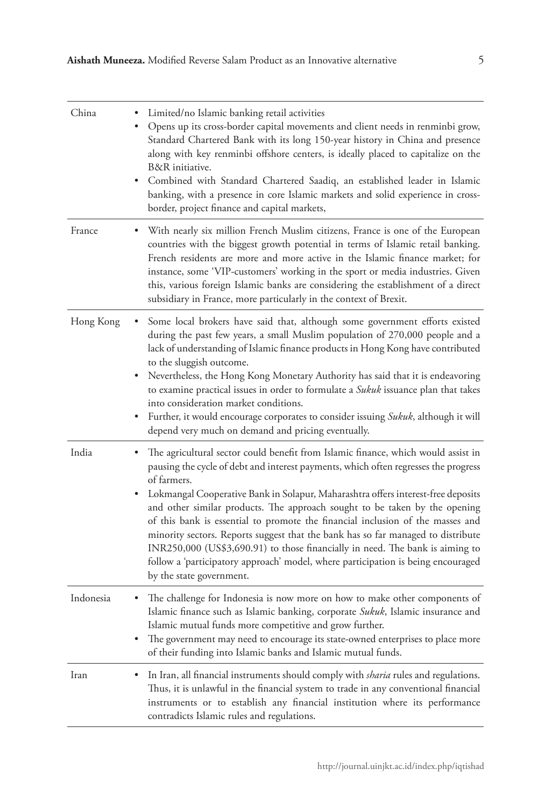| China     | Limited/no Islamic banking retail activities<br>Opens up its cross-border capital movements and client needs in renminbi grow,<br>Standard Chartered Bank with its long 150-year history in China and presence<br>along with key renminbi offshore centers, is ideally placed to capitalize on the<br>B&R initiative.<br>Combined with Standard Chartered Saadiq, an established leader in Islamic<br>banking, with a presence in core Islamic markets and solid experience in cross-<br>border, project finance and capital markets,                                                                                                                                                                                            |
|-----------|----------------------------------------------------------------------------------------------------------------------------------------------------------------------------------------------------------------------------------------------------------------------------------------------------------------------------------------------------------------------------------------------------------------------------------------------------------------------------------------------------------------------------------------------------------------------------------------------------------------------------------------------------------------------------------------------------------------------------------|
| France    | With nearly six million French Muslim citizens, France is one of the European<br>countries with the biggest growth potential in terms of Islamic retail banking.<br>French residents are more and more active in the Islamic finance market; for<br>instance, some 'VIP-customers' working in the sport or media industries. Given<br>this, various foreign Islamic banks are considering the establishment of a direct<br>subsidiary in France, more particularly in the context of Brexit.                                                                                                                                                                                                                                     |
| Hong Kong | Some local brokers have said that, although some government efforts existed<br>during the past few years, a small Muslim population of 270,000 people and a<br>lack of understanding of Islamic finance products in Hong Kong have contributed<br>to the sluggish outcome.<br>Nevertheless, the Hong Kong Monetary Authority has said that it is endeavoring<br>to examine practical issues in order to formulate a <i>Sukuk</i> issuance plan that takes<br>into consideration market conditions.<br>Further, it would encourage corporates to consider issuing <i>Sukuk</i> , although it will<br>٠<br>depend very much on demand and pricing eventually.                                                                      |
| India     | The agricultural sector could benefit from Islamic finance, which would assist in<br>pausing the cycle of debt and interest payments, which often regresses the progress<br>of farmers.<br>Lokmangal Cooperative Bank in Solapur, Maharashtra offers interest-free deposits<br>and other similar products. The approach sought to be taken by the opening<br>of this bank is essential to promote the financial inclusion of the masses and<br>minority sectors. Reports suggest that the bank has so far managed to distribute<br>INR250,000 (US\$3,690.91) to those financially in need. The bank is aiming to<br>follow a 'participatory approach' model, where participation is being encouraged<br>by the state government. |
| Indonesia | The challenge for Indonesia is now more on how to make other components of<br>Islamic finance such as Islamic banking, corporate Sukuk, Islamic insurance and<br>Islamic mutual funds more competitive and grow further.<br>The government may need to encourage its state-owned enterprises to place more<br>of their funding into Islamic banks and Islamic mutual funds.                                                                                                                                                                                                                                                                                                                                                      |
| Iran      | In Iran, all financial instruments should comply with <i>sharia</i> rules and regulations.<br>٠<br>Thus, it is unlawful in the financial system to trade in any conventional financial<br>instruments or to establish any financial institution where its performance<br>contradicts Islamic rules and regulations.                                                                                                                                                                                                                                                                                                                                                                                                              |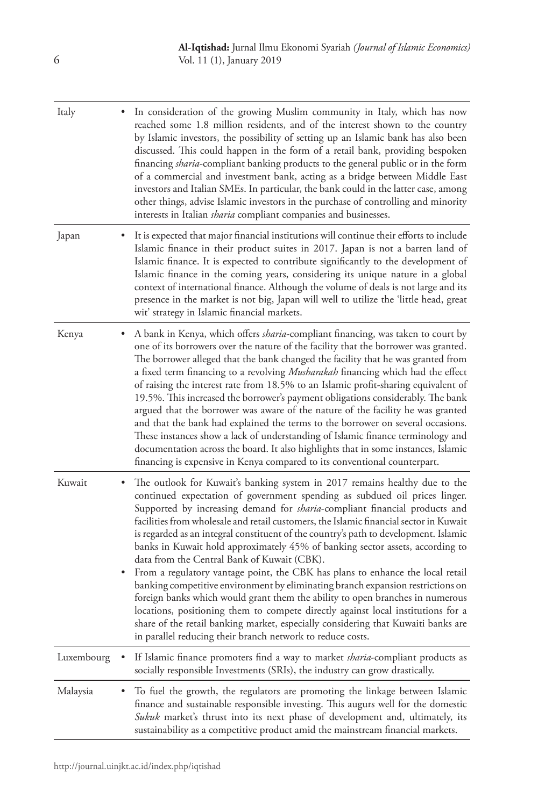| Italy      |   | In consideration of the growing Muslim community in Italy, which has now<br>reached some 1.8 million residents, and of the interest shown to the country<br>by Islamic investors, the possibility of setting up an Islamic bank has also been<br>discussed. This could happen in the form of a retail bank, providing bespoken<br>financing sharia-compliant banking products to the general public or in the form<br>of a commercial and investment bank, acting as a bridge between Middle East<br>investors and Italian SMEs. In particular, the bank could in the latter case, among<br>other things, advise Islamic investors in the purchase of controlling and minority<br>interests in Italian <i>sharia</i> compliant companies and businesses.                                                                                                                                                                                                                                                                                                      |
|------------|---|---------------------------------------------------------------------------------------------------------------------------------------------------------------------------------------------------------------------------------------------------------------------------------------------------------------------------------------------------------------------------------------------------------------------------------------------------------------------------------------------------------------------------------------------------------------------------------------------------------------------------------------------------------------------------------------------------------------------------------------------------------------------------------------------------------------------------------------------------------------------------------------------------------------------------------------------------------------------------------------------------------------------------------------------------------------|
| Japan      |   | It is expected that major financial institutions will continue their efforts to include<br>Islamic finance in their product suites in 2017. Japan is not a barren land of<br>Islamic finance. It is expected to contribute significantly to the development of<br>Islamic finance in the coming years, considering its unique nature in a global<br>context of international finance. Although the volume of deals is not large and its<br>presence in the market is not big, Japan will well to utilize the 'little head, great<br>wit' strategy in Islamic financial markets.                                                                                                                                                                                                                                                                                                                                                                                                                                                                               |
| Kenya      | ٠ | A bank in Kenya, which offers <i>sharia</i> -compliant financing, was taken to court by<br>one of its borrowers over the nature of the facility that the borrower was granted.<br>The borrower alleged that the bank changed the facility that he was granted from<br>a fixed term financing to a revolving Musharakah financing which had the effect<br>of raising the interest rate from 18.5% to an Islamic profit-sharing equivalent of<br>19.5%. This increased the borrower's payment obligations considerably. The bank<br>argued that the borrower was aware of the nature of the facility he was granted<br>and that the bank had explained the terms to the borrower on several occasions.<br>These instances show a lack of understanding of Islamic finance terminology and<br>documentation across the board. It also highlights that in some instances, Islamic<br>financing is expensive in Kenya compared to its conventional counterpart.                                                                                                    |
| Kuwait     | ٠ | The outlook for Kuwait's banking system in 2017 remains healthy due to the<br>continued expectation of government spending as subdued oil prices linger.<br>Supported by increasing demand for <i>sharia</i> -compliant financial products and<br>facilities from wholesale and retail customers, the Islamic financial sector in Kuwait<br>is regarded as an integral constituent of the country's path to development. Islamic<br>banks in Kuwait hold approximately 45% of banking sector assets, according to<br>data from the Central Bank of Kuwait (CBK).<br>From a regulatory vantage point, the CBK has plans to enhance the local retail<br>banking competitive environment by eliminating branch expansion restrictions on<br>foreign banks which would grant them the ability to open branches in numerous<br>locations, positioning them to compete directly against local institutions for a<br>share of the retail banking market, especially considering that Kuwaiti banks are<br>in parallel reducing their branch network to reduce costs. |
| Luxembourg |   | If Islamic finance promoters find a way to market <i>sharia</i> -compliant products as<br>socially responsible Investments (SRIs), the industry can grow drastically.                                                                                                                                                                                                                                                                                                                                                                                                                                                                                                                                                                                                                                                                                                                                                                                                                                                                                         |
| Malaysia   |   | To fuel the growth, the regulators are promoting the linkage between Islamic<br>finance and sustainable responsible investing. This augurs well for the domestic<br>Sukuk market's thrust into its next phase of development and, ultimately, its<br>sustainability as a competitive product amid the mainstream financial markets.                                                                                                                                                                                                                                                                                                                                                                                                                                                                                                                                                                                                                                                                                                                           |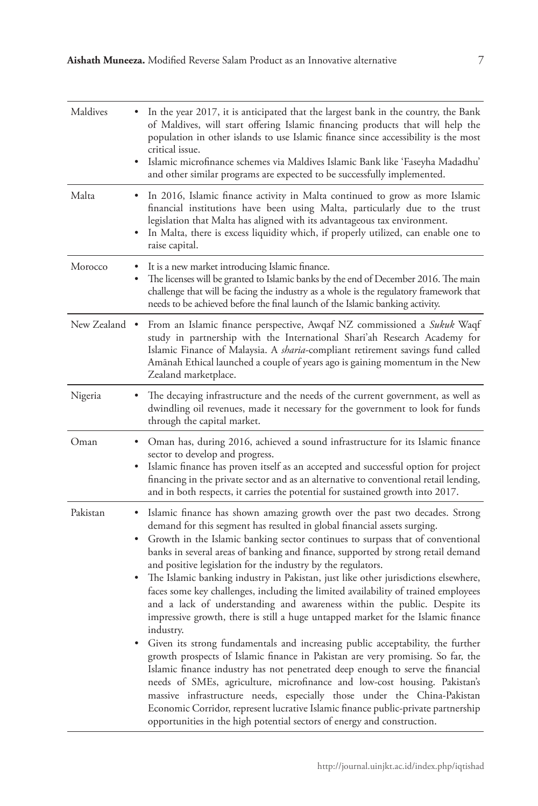| Maldives      |   | In the year 2017, it is anticipated that the largest bank in the country, the Bank<br>of Maldives, will start offering Islamic financing products that will help the<br>population in other islands to use Islamic finance since accessibility is the most<br>critical issue.<br>Islamic microfinance schemes via Maldives Islamic Bank like 'Faseyha Madadhu'<br>and other similar programs are expected to be successfully implemented.                                                                                                                                                                                                                                                                                                                                                                                                                                                                                                                                                                                                                                                                                                                                                                                                                                                                                            |
|---------------|---|--------------------------------------------------------------------------------------------------------------------------------------------------------------------------------------------------------------------------------------------------------------------------------------------------------------------------------------------------------------------------------------------------------------------------------------------------------------------------------------------------------------------------------------------------------------------------------------------------------------------------------------------------------------------------------------------------------------------------------------------------------------------------------------------------------------------------------------------------------------------------------------------------------------------------------------------------------------------------------------------------------------------------------------------------------------------------------------------------------------------------------------------------------------------------------------------------------------------------------------------------------------------------------------------------------------------------------------|
| Malta         |   | In 2016, Islamic finance activity in Malta continued to grow as more Islamic<br>financial institutions have been using Malta, particularly due to the trust<br>legislation that Malta has aligned with its advantageous tax environment.<br>In Malta, there is excess liquidity which, if properly utilized, can enable one to<br>raise capital.                                                                                                                                                                                                                                                                                                                                                                                                                                                                                                                                                                                                                                                                                                                                                                                                                                                                                                                                                                                     |
| Morocco       |   | It is a new market introducing Islamic finance.<br>The licenses will be granted to Islamic banks by the end of December 2016. The main<br>challenge that will be facing the industry as a whole is the regulatory framework that<br>needs to be achieved before the final launch of the Islamic banking activity.                                                                                                                                                                                                                                                                                                                                                                                                                                                                                                                                                                                                                                                                                                                                                                                                                                                                                                                                                                                                                    |
| New Zealand • |   | From an Islamic finance perspective, Awqaf NZ commissioned a Sukuk Waqf<br>study in partnership with the International Shari'ah Research Academy for<br>Islamic Finance of Malaysia. A <i>sharia</i> -compliant retirement savings fund called<br>Amānah Ethical launched a couple of years ago is gaining momentum in the New<br>Zealand marketplace.                                                                                                                                                                                                                                                                                                                                                                                                                                                                                                                                                                                                                                                                                                                                                                                                                                                                                                                                                                               |
| Nigeria       |   | The decaying infrastructure and the needs of the current government, as well as<br>dwindling oil revenues, made it necessary for the government to look for funds<br>through the capital market.                                                                                                                                                                                                                                                                                                                                                                                                                                                                                                                                                                                                                                                                                                                                                                                                                                                                                                                                                                                                                                                                                                                                     |
| Oman          | ٠ | Oman has, during 2016, achieved a sound infrastructure for its Islamic finance<br>sector to develop and progress.<br>Islamic finance has proven itself as an accepted and successful option for project<br>financing in the private sector and as an alternative to conventional retail lending,<br>and in both respects, it carries the potential for sustained growth into 2017.                                                                                                                                                                                                                                                                                                                                                                                                                                                                                                                                                                                                                                                                                                                                                                                                                                                                                                                                                   |
| Pakistan      | ٠ | Islamic finance has shown amazing growth over the past two decades. Strong<br>demand for this segment has resulted in global financial assets surging.<br>Growth in the Islamic banking sector continues to surpass that of conventional<br>banks in several areas of banking and finance, supported by strong retail demand<br>and positive legislation for the industry by the regulators.<br>The Islamic banking industry in Pakistan, just like other jurisdictions elsewhere,<br>faces some key challenges, including the limited availability of trained employees<br>and a lack of understanding and awareness within the public. Despite its<br>impressive growth, there is still a huge untapped market for the Islamic finance<br>industrv.<br>Given its strong fundamentals and increasing public acceptability, the further<br>growth prospects of Islamic finance in Pakistan are very promising. So far, the<br>Islamic finance industry has not penetrated deep enough to serve the financial<br>needs of SMEs, agriculture, microfinance and low-cost housing. Pakistan's<br>massive infrastructure needs, especially those under the China-Pakistan<br>Economic Corridor, represent lucrative Islamic finance public-private partnership<br>opportunities in the high potential sectors of energy and construction. |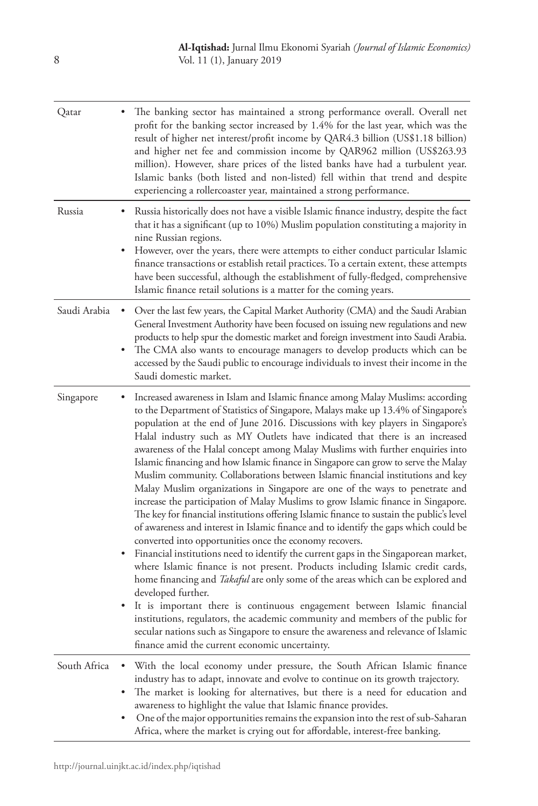| Qatar        |             | The banking sector has maintained a strong performance overall. Overall net<br>profit for the banking sector increased by 1.4% for the last year, which was the<br>result of higher net interest/profit income by QAR4.3 billion (US\$1.18 billion)<br>and higher net fee and commission income by QAR962 million (US\$263.93<br>million). However, share prices of the listed banks have had a turbulent year.<br>Islamic banks (both listed and non-listed) fell within that trend and despite<br>experiencing a rollercoaster year, maintained a strong performance.                                                                                                                                                                                                                                                                                                                                                                                                                                                                                                                                                                                                                                                                                                                                                                                                                                                                                                                                                                                                                                        |
|--------------|-------------|----------------------------------------------------------------------------------------------------------------------------------------------------------------------------------------------------------------------------------------------------------------------------------------------------------------------------------------------------------------------------------------------------------------------------------------------------------------------------------------------------------------------------------------------------------------------------------------------------------------------------------------------------------------------------------------------------------------------------------------------------------------------------------------------------------------------------------------------------------------------------------------------------------------------------------------------------------------------------------------------------------------------------------------------------------------------------------------------------------------------------------------------------------------------------------------------------------------------------------------------------------------------------------------------------------------------------------------------------------------------------------------------------------------------------------------------------------------------------------------------------------------------------------------------------------------------------------------------------------------|
| Russia       | ٠           | Russia historically does not have a visible Islamic finance industry, despite the fact<br>that it has a significant (up to 10%) Muslim population constituting a majority in<br>nine Russian regions.<br>However, over the years, there were attempts to either conduct particular Islamic<br>finance transactions or establish retail practices. To a certain extent, these attempts<br>have been successful, although the establishment of fully-fledged, comprehensive<br>Islamic finance retail solutions is a matter for the coming years.                                                                                                                                                                                                                                                                                                                                                                                                                                                                                                                                                                                                                                                                                                                                                                                                                                                                                                                                                                                                                                                                |
| Saudi Arabia | ٠<br>٠      | Over the last few years, the Capital Market Authority (CMA) and the Saudi Arabian<br>General Investment Authority have been focused on issuing new regulations and new<br>products to help spur the domestic market and foreign investment into Saudi Arabia.<br>The CMA also wants to encourage managers to develop products which can be<br>accessed by the Saudi public to encourage individuals to invest their income in the<br>Saudi domestic market.                                                                                                                                                                                                                                                                                                                                                                                                                                                                                                                                                                                                                                                                                                                                                                                                                                                                                                                                                                                                                                                                                                                                                    |
| Singapore    | ٠           | Increased awareness in Islam and Islamic finance among Malay Muslims: according<br>to the Department of Statistics of Singapore, Malays make up 13.4% of Singapore's<br>population at the end of June 2016. Discussions with key players in Singapore's<br>Halal industry such as MY Outlets have indicated that there is an increased<br>awareness of the Halal concept among Malay Muslims with further enquiries into<br>Islamic financing and how Islamic finance in Singapore can grow to serve the Malay<br>Muslim community. Collaborations between Islamic financial institutions and key<br>Malay Muslim organizations in Singapore are one of the ways to penetrate and<br>increase the participation of Malay Muslims to grow Islamic finance in Singapore.<br>The key for financial institutions offering Islamic finance to sustain the public's level<br>of awareness and interest in Islamic finance and to identify the gaps which could be<br>converted into opportunities once the economy recovers.<br>Financial institutions need to identify the current gaps in the Singaporean market,<br>where Islamic finance is not present. Products including Islamic credit cards,<br>home financing and Takaful are only some of the areas which can be explored and<br>developed further.<br>It is important there is continuous engagement between Islamic financial<br>institutions, regulators, the academic community and members of the public for<br>secular nations such as Singapore to ensure the awareness and relevance of Islamic<br>finance amid the current economic uncertainty. |
| South Africa | ٠<br>٠<br>٠ | With the local economy under pressure, the South African Islamic finance<br>industry has to adapt, innovate and evolve to continue on its growth trajectory.<br>The market is looking for alternatives, but there is a need for education and<br>awareness to highlight the value that Islamic finance provides.<br>One of the major opportunities remains the expansion into the rest of sub-Saharan<br>Africa, where the market is crying out for affordable, interest-free banking.                                                                                                                                                                                                                                                                                                                                                                                                                                                                                                                                                                                                                                                                                                                                                                                                                                                                                                                                                                                                                                                                                                                         |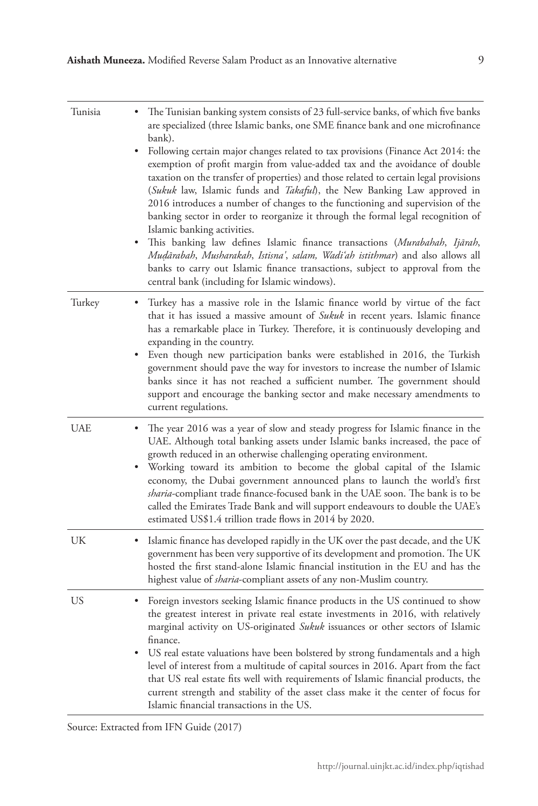| Tunisia    | The Tunisian banking system consists of 23 full-service banks, of which five banks<br>are specialized (three Islamic banks, one SME finance bank and one microfinance<br>bank).<br>Following certain major changes related to tax provisions (Finance Act 2014: the<br>٠<br>exemption of profit margin from value-added tax and the avoidance of double                                                                                                                                                                                                                                                                              |
|------------|--------------------------------------------------------------------------------------------------------------------------------------------------------------------------------------------------------------------------------------------------------------------------------------------------------------------------------------------------------------------------------------------------------------------------------------------------------------------------------------------------------------------------------------------------------------------------------------------------------------------------------------|
|            | taxation on the transfer of properties) and those related to certain legal provisions<br>(Sukuk law, Islamic funds and <i>Takaful</i> ), the New Banking Law approved in<br>2016 introduces a number of changes to the functioning and supervision of the<br>banking sector in order to reorganize it through the formal legal recognition of<br>Islamic banking activities.                                                                                                                                                                                                                                                         |
|            | This banking law defines Islamic finance transactions (Murabahah, Ijārah,<br>Mudārabah, Musharakah, Istisna', salam, Wadi'ah istithmar) and also allows all<br>banks to carry out Islamic finance transactions, subject to approval from the<br>central bank (including for Islamic windows).                                                                                                                                                                                                                                                                                                                                        |
| Turkey     | Turkey has a massive role in the Islamic finance world by virtue of the fact<br>٠<br>that it has issued a massive amount of Sukuk in recent years. Islamic finance<br>has a remarkable place in Turkey. Therefore, it is continuously developing and<br>expanding in the country.                                                                                                                                                                                                                                                                                                                                                    |
|            | Even though new participation banks were established in 2016, the Turkish<br>government should pave the way for investors to increase the number of Islamic<br>banks since it has not reached a sufficient number. The government should<br>support and encourage the banking sector and make necessary amendments to<br>current regulations.                                                                                                                                                                                                                                                                                        |
| <b>UAE</b> | The year 2016 was a year of slow and steady progress for Islamic finance in the<br>UAE. Although total banking assets under Islamic banks increased, the pace of<br>growth reduced in an otherwise challenging operating environment.<br>Working toward its ambition to become the global capital of the Islamic<br>economy, the Dubai government announced plans to launch the world's first<br><i>sharia</i> -compliant trade finance-focused bank in the UAE soon. The bank is to be<br>called the Emirates Trade Bank and will support endeavours to double the UAE's<br>estimated US\$1.4 trillion trade flows in 2014 by 2020. |
| UK         | Islamic finance has developed rapidly in the UK over the past decade, and the UK<br>government has been very supportive of its development and promotion. The UK<br>hosted the first stand-alone Islamic financial institution in the EU and has the<br>highest value of <i>sharia</i> -compliant assets of any non-Muslim country.                                                                                                                                                                                                                                                                                                  |
| US         | Foreign investors seeking Islamic finance products in the US continued to show<br>the greatest interest in private real estate investments in 2016, with relatively<br>marginal activity on US-originated Sukuk issuances or other sectors of Islamic<br>finance.                                                                                                                                                                                                                                                                                                                                                                    |
|            | US real estate valuations have been bolstered by strong fundamentals and a high<br>level of interest from a multitude of capital sources in 2016. Apart from the fact<br>that US real estate fits well with requirements of Islamic financial products, the<br>current strength and stability of the asset class make it the center of focus for<br>Islamic financial transactions in the US.                                                                                                                                                                                                                                        |

Source: Extracted from IFN Guide (2017)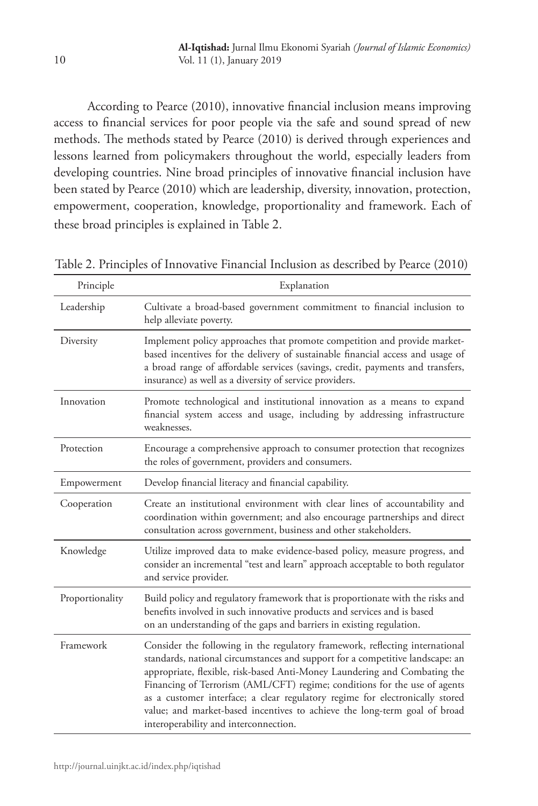According to Pearce (2010), innovative financial inclusion means improving access to financial services for poor people via the safe and sound spread of new methods. The methods stated by Pearce (2010) is derived through experiences and lessons learned from policymakers throughout the world, especially leaders from developing countries. Nine broad principles of innovative financial inclusion have been stated by Pearce (2010) which are leadership, diversity, innovation, protection, empowerment, cooperation, knowledge, proportionality and framework. Each of these broad principles is explained in Table 2.

Table 2. Principles of Innovative Financial Inclusion as described by Pearce (2010)

| Principle       | Explanation                                                                                                                                                                                                                                                                                                                                                                                                                                                                                                                   |
|-----------------|-------------------------------------------------------------------------------------------------------------------------------------------------------------------------------------------------------------------------------------------------------------------------------------------------------------------------------------------------------------------------------------------------------------------------------------------------------------------------------------------------------------------------------|
| Leadership      | Cultivate a broad-based government commitment to financial inclusion to<br>help alleviate poverty.                                                                                                                                                                                                                                                                                                                                                                                                                            |
| Diversity       | Implement policy approaches that promote competition and provide market-<br>based incentives for the delivery of sustainable financial access and usage of<br>a broad range of affordable services (savings, credit, payments and transfers,<br>insurance) as well as a diversity of service providers.                                                                                                                                                                                                                       |
| Innovation      | Promote technological and institutional innovation as a means to expand<br>financial system access and usage, including by addressing infrastructure<br>weaknesses.                                                                                                                                                                                                                                                                                                                                                           |
| Protection      | Encourage a comprehensive approach to consumer protection that recognizes<br>the roles of government, providers and consumers.                                                                                                                                                                                                                                                                                                                                                                                                |
| Empowerment     | Develop financial literacy and financial capability.                                                                                                                                                                                                                                                                                                                                                                                                                                                                          |
| Cooperation     | Create an institutional environment with clear lines of accountability and<br>coordination within government; and also encourage partnerships and direct<br>consultation across government, business and other stakeholders.                                                                                                                                                                                                                                                                                                  |
| Knowledge       | Utilize improved data to make evidence-based policy, measure progress, and<br>consider an incremental "test and learn" approach acceptable to both regulator<br>and service provider.                                                                                                                                                                                                                                                                                                                                         |
| Proportionality | Build policy and regulatory framework that is proportionate with the risks and<br>benefits involved in such innovative products and services and is based<br>on an understanding of the gaps and barriers in existing regulation.                                                                                                                                                                                                                                                                                             |
| Framework       | Consider the following in the regulatory framework, reflecting international<br>standards, national circumstances and support for a competitive landscape: an<br>appropriate, flexible, risk-based Anti-Money Laundering and Combating the<br>Financing of Terrorism (AML/CFT) regime; conditions for the use of agents<br>as a customer interface; a clear regulatory regime for electronically stored<br>value; and market-based incentives to achieve the long-term goal of broad<br>interoperability and interconnection. |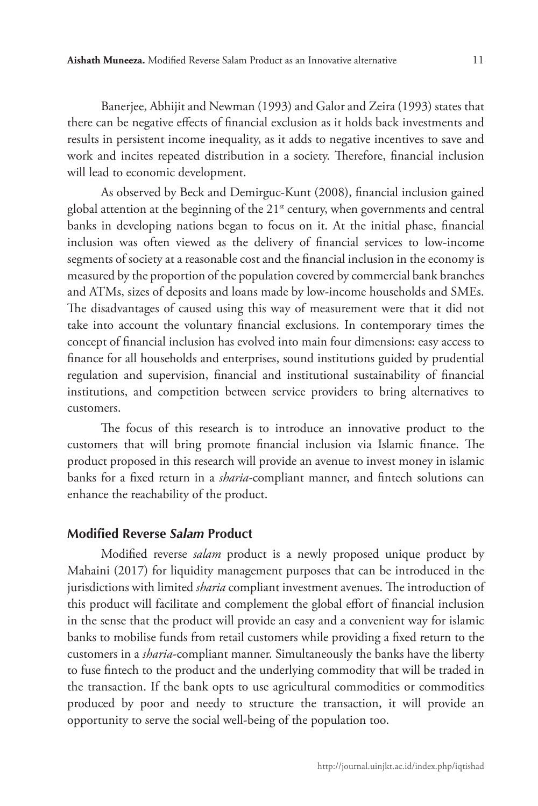Banerjee, Abhijit and Newman (1993) and Galor and Zeira (1993) states that there can be negative effects of financial exclusion as it holds back investments and results in persistent income inequality, as it adds to negative incentives to save and work and incites repeated distribution in a society. Therefore, financial inclusion will lead to economic development.

As observed by Beck and Demirguc-Kunt (2008), financial inclusion gained global attention at the beginning of the  $21<sup>st</sup>$  century, when governments and central banks in developing nations began to focus on it. At the initial phase, financial inclusion was often viewed as the delivery of financial services to low-income segments of society at a reasonable cost and the financial inclusion in the economy is measured by the proportion of the population covered by commercial bank branches and ATMs, sizes of deposits and loans made by low-income households and SMEs. The disadvantages of caused using this way of measurement were that it did not take into account the voluntary financial exclusions. In contemporary times the concept of financial inclusion has evolved into main four dimensions: easy access to finance for all households and enterprises, sound institutions guided by prudential regulation and supervision, financial and institutional sustainability of financial institutions, and competition between service providers to bring alternatives to customers.

The focus of this research is to introduce an innovative product to the customers that will bring promote financial inclusion via Islamic finance. The product proposed in this research will provide an avenue to invest money in islamic banks for a fixed return in a *sharia*-compliant manner, and fintech solutions can enhance the reachability of the product.

#### **Modified Reverse** *Salam* **Product**

Modified reverse *salam* product is a newly proposed unique product by Mahaini (2017) for liquidity management purposes that can be introduced in the jurisdictions with limited *sharia* compliant investment avenues. The introduction of this product will facilitate and complement the global effort of financial inclusion in the sense that the product will provide an easy and a convenient way for islamic banks to mobilise funds from retail customers while providing a fixed return to the customers in a *sharia*-compliant manner. Simultaneously the banks have the liberty to fuse fintech to the product and the underlying commodity that will be traded in the transaction. If the bank opts to use agricultural commodities or commodities produced by poor and needy to structure the transaction, it will provide an opportunity to serve the social well-being of the population too.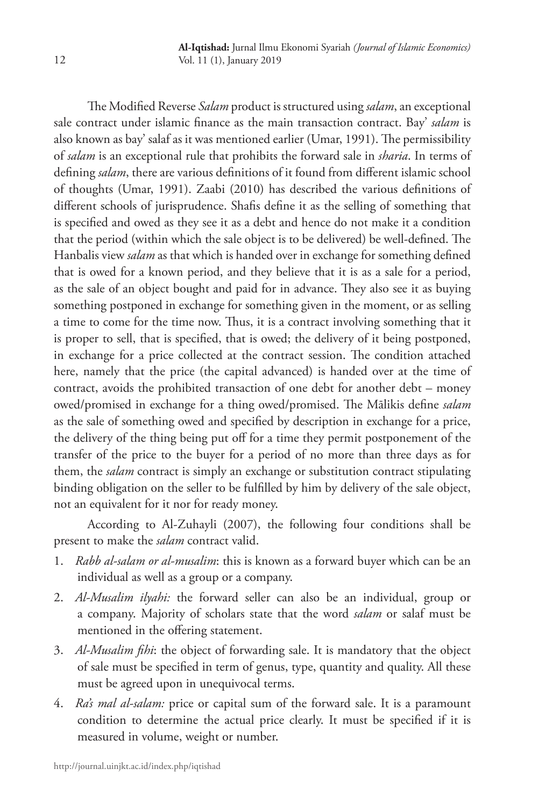The Modified Reverse *Salam* product is structured using *salam*, an exceptional sale contract under islamic finance as the main transaction contract. Bay' *salam* is also known as bay' salaf as it was mentioned earlier (Umar, 1991). The permissibility of *salam* is an exceptional rule that prohibits the forward sale in *sharia*. In terms of defining *salam*, there are various definitions of it found from different islamic school of thoughts (Umar, 1991). Zaabi (2010) has described the various definitions of different schools of jurisprudence. Shafis define it as the selling of something that is specified and owed as they see it as a debt and hence do not make it a condition that the period (within which the sale object is to be delivered) be well-defined. The Hanbalis view *salam* as that which is handed over in exchange for something defined that is owed for a known period, and they believe that it is as a sale for a period, as the sale of an object bought and paid for in advance. They also see it as buying something postponed in exchange for something given in the moment, or as selling a time to come for the time now. Thus, it is a contract involving something that it is proper to sell, that is specified, that is owed; the delivery of it being postponed, in exchange for a price collected at the contract session. The condition attached here, namely that the price (the capital advanced) is handed over at the time of contract, avoids the prohibited transaction of one debt for another debt – money owed/promised in exchange for a thing owed/promised. The Mālikis define *salam* as the sale of something owed and specified by description in exchange for a price, the delivery of the thing being put off for a time they permit postponement of the transfer of the price to the buyer for a period of no more than three days as for them, the *salam* contract is simply an exchange or substitution contract stipulating binding obligation on the seller to be fulfilled by him by delivery of the sale object, not an equivalent for it nor for ready money.

According to Al-Zuhayli (2007), the following four conditions shall be present to make the *salam* contract valid.

- 1. *Rabb al-salam or al-musalim*: this is known as a forward buyer which can be an individual as well as a group or a company.
- 2. *Al-Musalim ilyahi:* the forward seller can also be an individual, group or a company. Majority of scholars state that the word *salam* or salaf must be mentioned in the offering statement.
- 3. *Al-Musalim fihi*: the object of forwarding sale. It is mandatory that the object of sale must be specified in term of genus, type, quantity and quality. All these must be agreed upon in unequivocal terms.
- 4. *Ra's mal al-salam:* price or capital sum of the forward sale. It is a paramount condition to determine the actual price clearly. It must be specified if it is measured in volume, weight or number.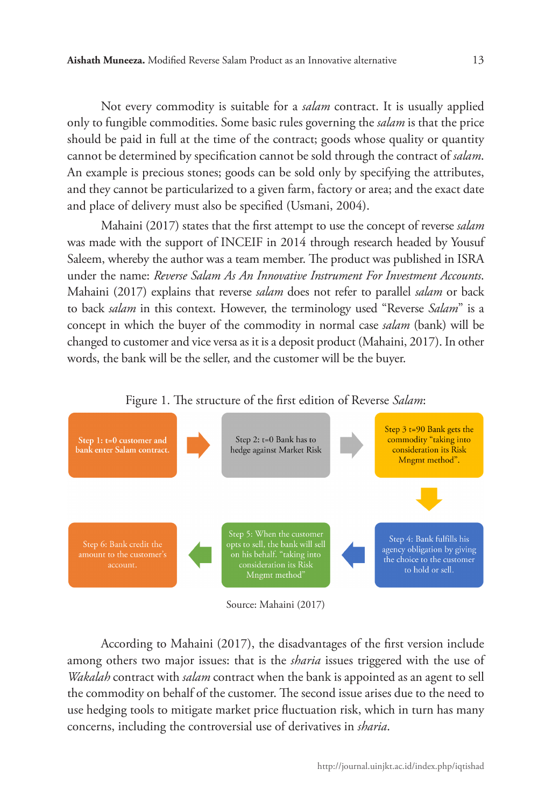Not every commodity is suitable for a *salam* contract. It is usually applied only to fungible commodities. Some basic rules governing the *salam* is that the price should be paid in full at the time of the contract; goods whose quality or quantity cannot be determined by specification cannot be sold through the contract of *salam*. An example is precious stones; goods can be sold only by specifying the attributes, and they cannot be particularized to a given farm, factory or area; and the exact date and place of delivery must also be specified (Usmani, 2004).

Mahaini (2017) states that the first attempt to use the concept of reverse *salam* was made with the support of INCEIF in 2014 through research headed by Yousuf Saleem, whereby the author was a team member. The product was published in ISRA under the name: *Reverse Salam As An Innovative Instrument For Investment Accounts*. Mahaini (2017) explains that reverse *salam* does not refer to parallel *salam* or back to back *salam* in this context. However, the terminology used "Reverse *Salam*" is a concept in which the buyer of the commodity in normal case *salam* (bank) will be changed to customer and vice versa as it is a deposit product (Mahaini, 2017). In other words, the bank will be the seller, and the customer will be the buyer.





Source: Mahaini (2017)

According to Mahaini (2017), the disadvantages of the first version include among others two major issues: that is the *sharia* issues triggered with the use of *Wakalah* contract with *salam* contract when the bank is appointed as an agent to sell the commodity on behalf of the customer. The second issue arises due to the need to use hedging tools to mitigate market price fluctuation risk, which in turn has many concerns, including the controversial use of derivatives in *sharia*.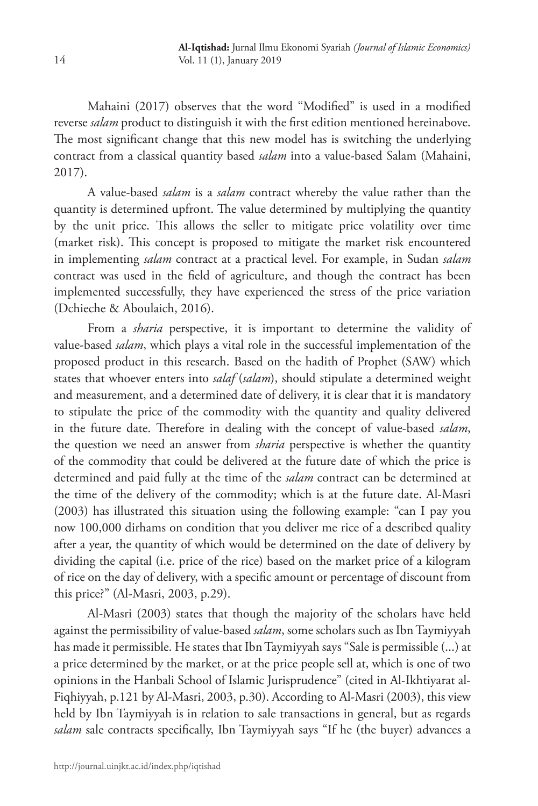Mahaini (2017) observes that the word "Modified" is used in a modified reverse *salam* product to distinguish it with the first edition mentioned hereinabove. The most significant change that this new model has is switching the underlying contract from a classical quantity based *salam* into a value-based Salam (Mahaini, 2017).

A value-based *salam* is a *salam* contract whereby the value rather than the quantity is determined upfront. The value determined by multiplying the quantity by the unit price. This allows the seller to mitigate price volatility over time (market risk). This concept is proposed to mitigate the market risk encountered in implementing *salam* contract at a practical level. For example, in Sudan *salam* contract was used in the field of agriculture, and though the contract has been implemented successfully, they have experienced the stress of the price variation (Dchieche & Aboulaich, 2016).

From a *sharia* perspective, it is important to determine the validity of value-based *salam*, which plays a vital role in the successful implementation of the proposed product in this research. Based on the hadith of Prophet (SAW) which states that whoever enters into *salaf* (*salam*), should stipulate a determined weight and measurement, and a determined date of delivery, it is clear that it is mandatory to stipulate the price of the commodity with the quantity and quality delivered in the future date. Therefore in dealing with the concept of value-based *salam*, the question we need an answer from *sharia* perspective is whether the quantity of the commodity that could be delivered at the future date of which the price is determined and paid fully at the time of the *salam* contract can be determined at the time of the delivery of the commodity; which is at the future date. Al-Masri (2003) has illustrated this situation using the following example: "can I pay you now 100,000 dirhams on condition that you deliver me rice of a described quality after a year, the quantity of which would be determined on the date of delivery by dividing the capital (i.e. price of the rice) based on the market price of a kilogram of rice on the day of delivery, with a specific amount or percentage of discount from this price?" (Al-Masri, 2003, p.29).

Al-Masri (2003) states that though the majority of the scholars have held against the permissibility of value-based *salam*, some scholars such as Ibn Taymiyyah has made it permissible. He states that Ibn Taymiyyah says "Sale is permissible (...) at a price determined by the market, or at the price people sell at, which is one of two opinions in the Hanbali School of Islamic Jurisprudence" (cited in Al-Ikhtiyarat al-Fiqhiyyah, p.121 by Al-Masri, 2003, p.30). According to Al-Masri (2003), this view held by Ibn Taymiyyah is in relation to sale transactions in general, but as regards *salam* sale contracts specifically, Ibn Taymiyyah says "If he (the buyer) advances a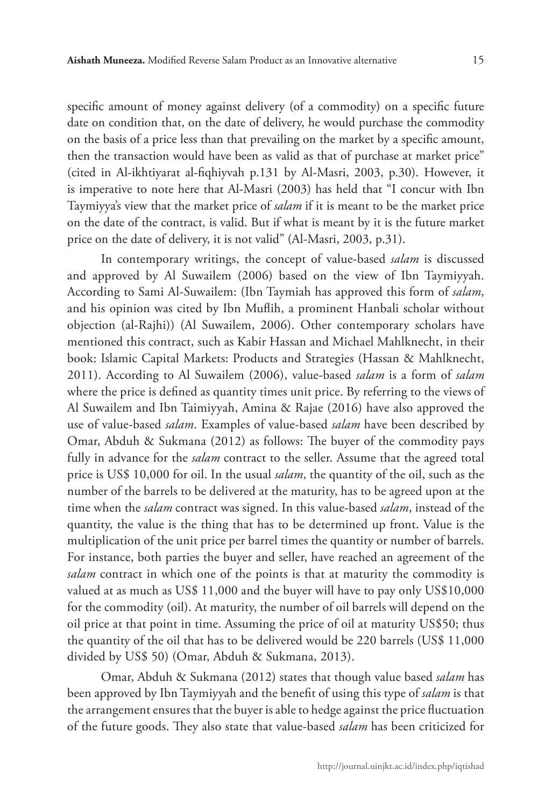specific amount of money against delivery (of a commodity) on a specific future date on condition that, on the date of delivery, he would purchase the commodity on the basis of a price less than that prevailing on the market by a specific amount, then the transaction would have been as valid as that of purchase at market price" (cited in Al-ikhtiyarat al-fiqhiyvah p.131 by Al-Masri, 2003, p.30). However, it is imperative to note here that Al-Masri (2003) has held that "I concur with Ibn Taymiyya's view that the market price of *salam* if it is meant to be the market price on the date of the contract, is valid. But if what is meant by it is the future market price on the date of delivery, it is not valid" (Al-Masri, 2003, p.31).

In contemporary writings, the concept of value-based *salam* is discussed and approved by Al Suwailem (2006) based on the view of Ibn Taymiyyah. According to Sami Al-Suwailem: (Ibn Taymiah has approved this form of *salam*, and his opinion was cited by Ibn Muflih, a prominent Hanbali scholar without objection (al-Rajhi)) (Al Suwailem, 2006). Other contemporary scholars have mentioned this contract, such as Kabir Hassan and Michael Mahlknecht, in their book: Islamic Capital Markets: Products and Strategies (Hassan & Mahlknecht, 2011). According to Al Suwailem (2006), value-based *salam* is a form of *salam* where the price is defined as quantity times unit price. By referring to the views of Al Suwailem and Ibn Taimiyyah, Amina & Rajae (2016) have also approved the use of value-based *salam*. Examples of value-based *salam* have been described by Omar, Abduh & Sukmana (2012) as follows: The buyer of the commodity pays fully in advance for the *salam* contract to the seller. Assume that the agreed total price is US\$ 10,000 for oil. In the usual *salam*, the quantity of the oil, such as the number of the barrels to be delivered at the maturity, has to be agreed upon at the time when the *salam* contract was signed. In this value-based *salam*, instead of the quantity, the value is the thing that has to be determined up front. Value is the multiplication of the unit price per barrel times the quantity or number of barrels. For instance, both parties the buyer and seller, have reached an agreement of the *salam* contract in which one of the points is that at maturity the commodity is valued at as much as US\$ 11,000 and the buyer will have to pay only US\$10,000 for the commodity (oil). At maturity, the number of oil barrels will depend on the oil price at that point in time. Assuming the price of oil at maturity US\$50; thus the quantity of the oil that has to be delivered would be 220 barrels (US\$ 11,000 divided by US\$ 50) (Omar, Abduh & Sukmana, 2013).

Omar, Abduh & Sukmana (2012) states that though value based *salam* has been approved by Ibn Taymiyyah and the benefit of using this type of *salam* is that the arrangement ensures that the buyer is able to hedge against the price fluctuation of the future goods. They also state that value-based *salam* has been criticized for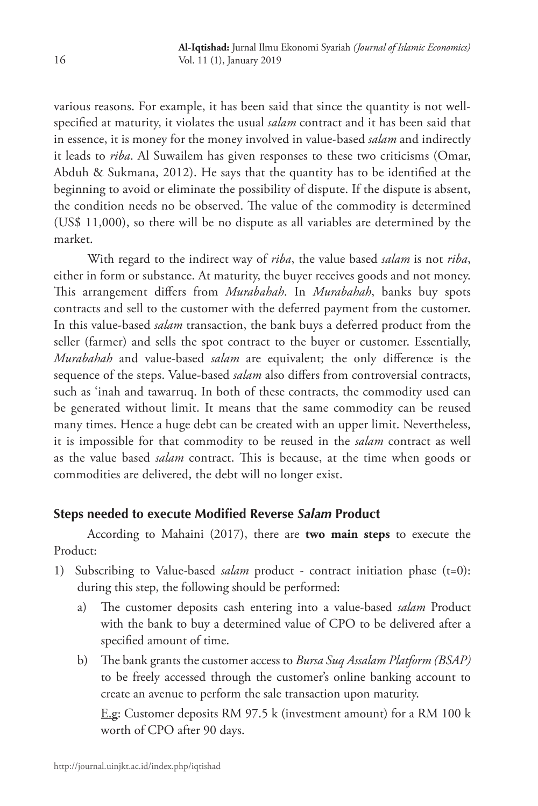various reasons. For example, it has been said that since the quantity is not wellspecified at maturity, it violates the usual *salam* contract and it has been said that in essence, it is money for the money involved in value-based *salam* and indirectly it leads to *riba*. Al Suwailem has given responses to these two criticisms (Omar, Abduh & Sukmana, 2012). He says that the quantity has to be identified at the beginning to avoid or eliminate the possibility of dispute. If the dispute is absent, the condition needs no be observed. The value of the commodity is determined (US\$ 11,000), so there will be no dispute as all variables are determined by the market.

With regard to the indirect way of *riba*, the value based *salam* is not *riba*, either in form or substance. At maturity, the buyer receives goods and not money. This arrangement differs from *Murabahah*. In *Murabahah*, banks buy spots contracts and sell to the customer with the deferred payment from the customer. In this value-based *salam* transaction, the bank buys a deferred product from the seller (farmer) and sells the spot contract to the buyer or customer. Essentially, *Murabahah* and value-based *salam* are equivalent; the only difference is the sequence of the steps. Value-based *salam* also differs from controversial contracts, such as 'inah and tawarruq. In both of these contracts, the commodity used can be generated without limit. It means that the same commodity can be reused many times. Hence a huge debt can be created with an upper limit. Nevertheless, it is impossible for that commodity to be reused in the *salam* contract as well as the value based *salam* contract. This is because, at the time when goods or commodities are delivered, the debt will no longer exist.

# **Steps needed to execute Modified Reverse** *Salam* **Product**

According to Mahaini (2017), there are **two main steps** to execute the Product:

- 1) Subscribing to Value-based *salam* product contract initiation phase (t=0): during this step, the following should be performed:
	- a) The customer deposits cash entering into a value-based *salam* Product with the bank to buy a determined value of CPO to be delivered after a specified amount of time.
	- b) The bank grants the customer access to *Bursa Suq Assalam Platform (BSAP)* to be freely accessed through the customer's online banking account to create an avenue to perform the sale transaction upon maturity.

 E.g: Customer deposits RM 97.5 k (investment amount) for a RM 100 k worth of CPO after 90 days.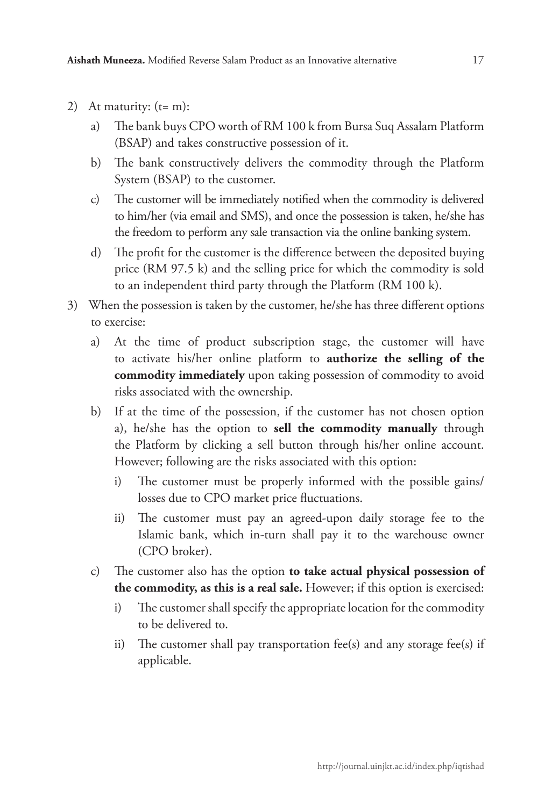2) At maturity:  $(t= m)$ :

- a) The bank buys CPO worth of RM 100 k from Bursa Suq Assalam Platform (BSAP) and takes constructive possession of it.
- b) The bank constructively delivers the commodity through the Platform System (BSAP) to the customer.
- c) The customer will be immediately notified when the commodity is delivered to him/her (via email and SMS), and once the possession is taken, he/she has the freedom to perform any sale transaction via the online banking system.
- d) The profit for the customer is the difference between the deposited buying price (RM 97.5 k) and the selling price for which the commodity is sold to an independent third party through the Platform (RM 100 k).
- 3) When the possession is taken by the customer, he/she has three different options to exercise:
	- a) At the time of product subscription stage, the customer will have to activate his/her online platform to **authorize the selling of the commodity immediately** upon taking possession of commodity to avoid risks associated with the ownership.
	- b) If at the time of the possession, if the customer has not chosen option a), he/she has the option to **sell the commodity manually** through the Platform by clicking a sell button through his/her online account. However; following are the risks associated with this option:
		- i) The customer must be properly informed with the possible gains/ losses due to CPO market price fluctuations.
		- ii) The customer must pay an agreed-upon daily storage fee to the Islamic bank, which in-turn shall pay it to the warehouse owner (CPO broker).
	- c) The customer also has the option **to take actual physical possession of the commodity, as this is a real sale.** However; if this option is exercised:
		- i) The customer shall specify the appropriate location for the commodity to be delivered to.
		- ii) The customer shall pay transportation fee(s) and any storage fee(s) if applicable.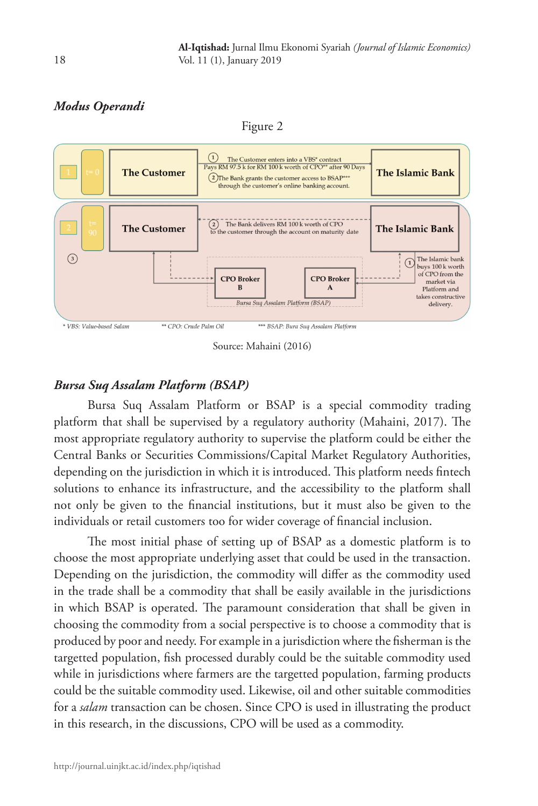# *Modus Operandi*

Figure 2



Source: Mahaini (2016)

# *Bursa Suq Assalam Platform (BSAP)*

Bursa Suq Assalam Platform or BSAP is a special commodity trading platform that shall be supervised by a regulatory authority (Mahaini, 2017). The most appropriate regulatory authority to supervise the platform could be either the Central Banks or Securities Commissions/Capital Market Regulatory Authorities, depending on the jurisdiction in which it is introduced. This platform needs fintech solutions to enhance its infrastructure, and the accessibility to the platform shall not only be given to the financial institutions, but it must also be given to the individuals or retail customers too for wider coverage of financial inclusion.

The most initial phase of setting up of BSAP as a domestic platform is to choose the most appropriate underlying asset that could be used in the transaction. Depending on the jurisdiction, the commodity will differ as the commodity used in the trade shall be a commodity that shall be easily available in the jurisdictions in which BSAP is operated. The paramount consideration that shall be given in choosing the commodity from a social perspective is to choose a commodity that is produced by poor and needy. For example in a jurisdiction where the fisherman is the targetted population, fish processed durably could be the suitable commodity used while in jurisdictions where farmers are the targetted population, farming products could be the suitable commodity used. Likewise, oil and other suitable commodities for a *salam* transaction can be chosen. Since CPO is used in illustrating the product in this research, in the discussions, CPO will be used as a commodity.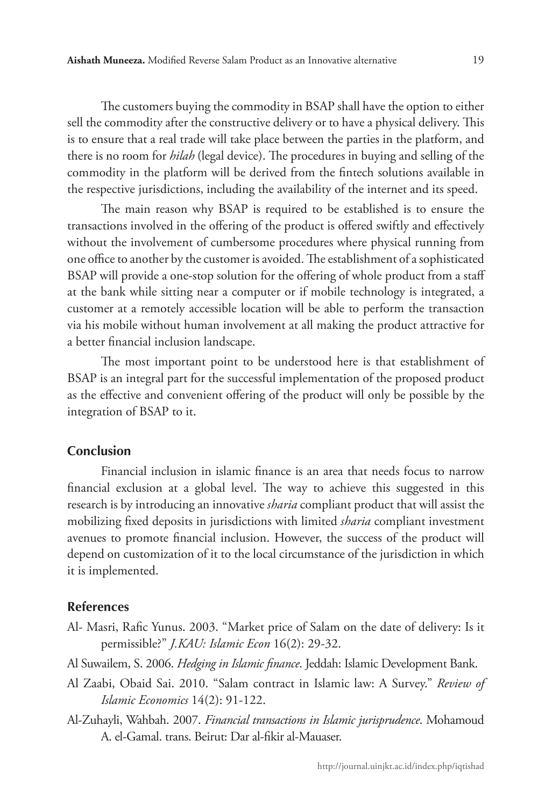The customers buying the commodity in BSAP shall have the option to either sell the commodity after the constructive delivery or to have a physical delivery. This is to ensure that a real trade will take place between the parties in the platform, and there is no room for *hilah* (legal device). The procedures in buying and selling of the commodity in the platform will be derived from the fintech solutions available in the respective jurisdictions, including the availability of the internet and its speed.

The main reason why BSAP is required to be established is to ensure the transactions involved in the offering of the product is offered swiftly and effectively without the involvement of cumbersome procedures where physical running from one office to another by the customer is avoided. The establishment of a sophisticated BSAP will provide a one-stop solution for the offering of whole product from a staff at the bank while sitting near a computer or if mobile technology is integrated, a customer at a remotely accessible location will be able to perform the transaction via his mobile without human involvement at all making the product attractive for a better financial inclusion landscape.

The most important point to be understood here is that establishment of BSAP is an integral part for the successful implementation of the proposed product as the effective and convenient offering of the product will only be possible by the integration of BSAP to it.

### **Conclusion**

Financial inclusion in islamic finance is an area that needs focus to narrow financial exclusion at a global level. The way to achieve this suggested in this research is by introducing an innovative *sharia* compliant product that will assist the mobilizing fixed deposits in jurisdictions with limited *sharia* compliant investment avenues to promote financial inclusion. However, the success of the product will depend on customization of it to the local circumstance of the jurisdiction in which it is implemented.

### **References**

- Al- Masri, Rafic Yunus. 2003. "Market price of Salam on the date of delivery: Is it permissible?" *J.KAU: Islamic Econ* 16(2): 29-32.
- Al Suwailem, S. 2006. *Hedging in Islamic finance*. Jeddah: Islamic Development Bank.
- Al Zaabi, Obaid Sai. 2010. "Salam contract in Islamic law: A Survey." *Review of Islamic Economics* 14(2): 91-122.
- Al-Zuhayli, Wahbah. 2007. *Financial transactions in Islamic jurisprudence*. Mohamoud A. el-Gamal. trans. Beirut: Dar al-fikir al-Mauaser.